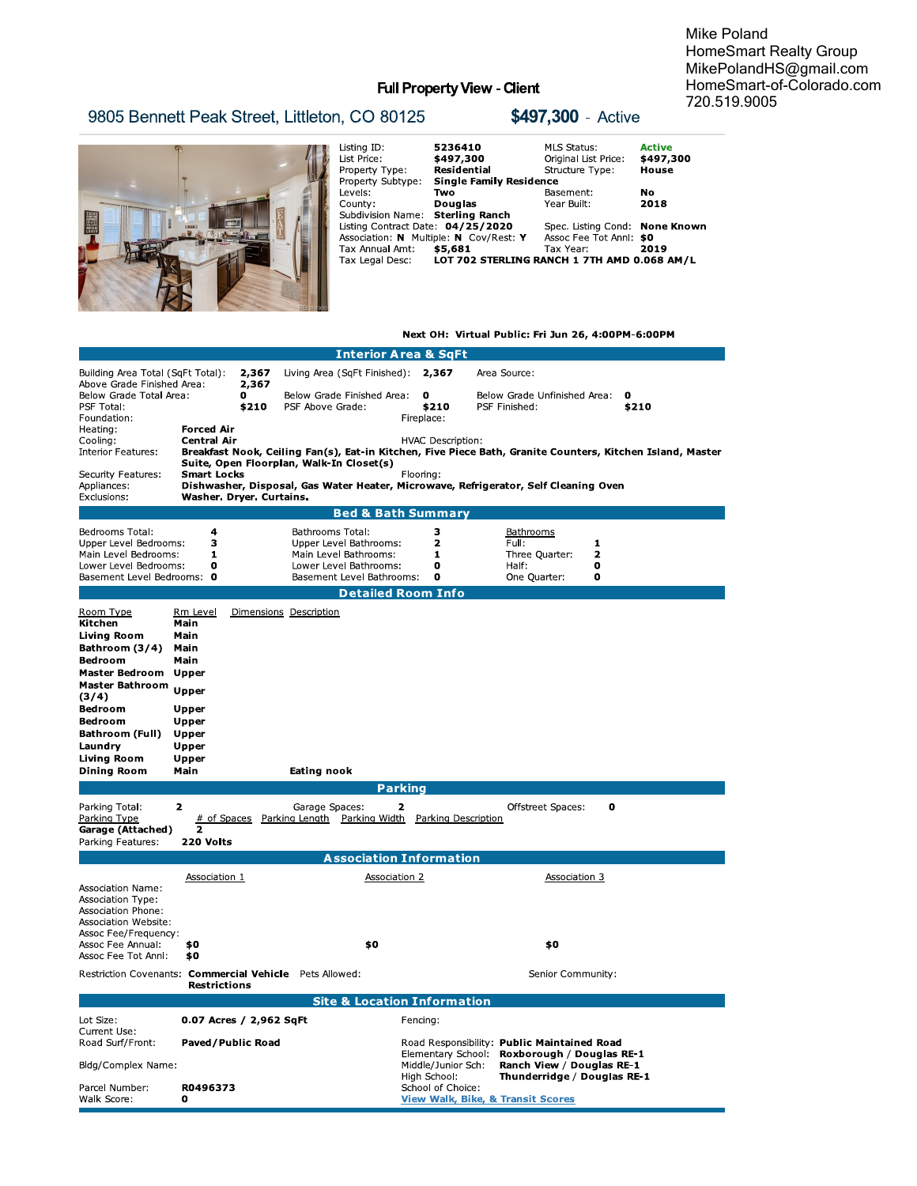Mike Poland HomeSmart Realty Group MikePolandHS@gmail.com HomeSmart-of-Colorado.com 720.519.9005

# Full Property View - Client

|                                               |                                                                                                                                                                                                        |                                                                                                                                                                                                    |                                                                                                                                                                     | Mik<br>Hon<br>Mik<br>Hon                                   |  |
|-----------------------------------------------|--------------------------------------------------------------------------------------------------------------------------------------------------------------------------------------------------------|----------------------------------------------------------------------------------------------------------------------------------------------------------------------------------------------------|---------------------------------------------------------------------------------------------------------------------------------------------------------------------|------------------------------------------------------------|--|
|                                               |                                                                                                                                                                                                        | <b>Full Property View - Client</b>                                                                                                                                                                 |                                                                                                                                                                     |                                                            |  |
| 9805 Bennett Peak Street, Littleton, CO 80125 |                                                                                                                                                                                                        |                                                                                                                                                                                                    | \$497,300 - Active                                                                                                                                                  | 720                                                        |  |
| <b>BEER</b>                                   | Listing ID:<br>List Price:<br>Property Type:<br>Property Subtype:<br>Levels:<br>County:<br>Subdivision Name: Sterling Ranch<br>Listing Contract Date: 04/25/2020<br>Tax Annual Amt:<br>Tax Legal Desc: | 5236410<br>\$497,300<br>Residential<br><b>Single Family Residence</b><br>Two<br><b>Douglas</b><br>Association: N Multiple: N Cov/Rest: Y<br>\$5,681<br>LOT 702 STERLING RANCH 1 7TH AMD 0.068 AM/L | <b>MLS Status:</b><br>Original List Price:<br>Structure Type:<br>Basement:<br>Year Built:<br>Spec. Listing Cond: None Known<br>Assoc Fee Tot Anni: \$0<br>Tax Year: | <b>Active</b><br>\$497,300<br>House<br>No.<br>2018<br>2019 |  |

# Next OH: Virtual Public: Fri Jun 26, 4:00PM-6:00PM

|                                                                                                                                                                                                                      |                                                                                                        |                                                                                                                                                                                   | Interior Area                                                                |                                                                                                | <b>Sqrt</b>                        |                                                                                     |                      |
|----------------------------------------------------------------------------------------------------------------------------------------------------------------------------------------------------------------------|--------------------------------------------------------------------------------------------------------|-----------------------------------------------------------------------------------------------------------------------------------------------------------------------------------|------------------------------------------------------------------------------|------------------------------------------------------------------------------------------------|------------------------------------|-------------------------------------------------------------------------------------|----------------------|
| Building Area Total (SqFt Total):<br>Above Grade Finished Area:                                                                                                                                                      |                                                                                                        | 2,367<br>2,367                                                                                                                                                                    | Living Area (SqFt Finished):                                                 |                                                                                                | 2,367                              | Area Source:                                                                        |                      |
| Below Grade Total Area:<br>PSF Total:<br>Foundation:                                                                                                                                                                 |                                                                                                        | 0<br>\$210                                                                                                                                                                        | Below Grade Finished Area:<br>PSF Above Grade:                               |                                                                                                | $\mathbf 0$<br>\$210<br>Fireplace: | Below Grade Unfinished Area:<br>PSF Finished:                                       | $\mathbf 0$<br>\$210 |
| Heating:<br>Cooling:<br>Interior Features:                                                                                                                                                                           | <b>Forced Air</b><br><b>Central Air</b>                                                                | <b>HVAC Description:</b><br>Breakfast Nook, Ceiling Fan(s), Eat-in Kitchen, Five Piece Bath, Granite Counters, Kitchen Island, Master<br>Suite, Open Floorplan, Walk-In Closet(s) |                                                                              |                                                                                                |                                    |                                                                                     |                      |
| Security Features:<br>Appliances:<br>Exclusions:                                                                                                                                                                     | <b>Smart Locks</b><br>Washer. Dryer. Curtains.                                                         |                                                                                                                                                                                   |                                                                              | Flooring:                                                                                      |                                    | Dishwasher, Disposal, Gas Water Heater, Microwave, Refrigerator, Self Cleaning Oven |                      |
|                                                                                                                                                                                                                      |                                                                                                        |                                                                                                                                                                                   | <b>Bed &amp; Bath Summary</b>                                                |                                                                                                |                                    |                                                                                     |                      |
| Bedrooms Total:<br>Upper Level Bedrooms:                                                                                                                                                                             | 4<br>3                                                                                                 |                                                                                                                                                                                   | Bathrooms Total:<br>Upper Level Bathrooms:                                   |                                                                                                | з<br>$\overline{\mathbf{z}}$       | Bathrooms<br>Full:<br>1                                                             |                      |
| Main Level Bedrooms:<br>Lower Level Bedrooms:<br>Basement Level Bedrooms: 0                                                                                                                                          | 1<br>0                                                                                                 |                                                                                                                                                                                   | Main Level Bathrooms:<br>Lower Level Bathrooms:<br>Basement Level Bathrooms: |                                                                                                | 1<br>0<br>$\mathbf 0$              | Three Quarter:<br>$\mathbf{z}$<br>Half:<br>0<br>One Quarter:<br>O                   |                      |
|                                                                                                                                                                                                                      |                                                                                                        |                                                                                                                                                                                   | <b>Detailed Room Info</b>                                                    |                                                                                                |                                    |                                                                                     |                      |
| Room Type<br>Kitchen<br>Living Room<br>Bathroom (3/4)<br><b>Bedroom</b><br>Master Bedroom Upper<br>Master Bathroom<br>(3/4)<br>Bedroom<br>Bedroom<br>Bathroom (Full)<br>Laundry<br>Living Room<br><b>Dining Room</b> | Rm Level<br>Main<br>Main<br>Main<br>Main<br>Upper<br>Upper<br>Upper<br>Upper<br>Upper<br>Upper<br>Main |                                                                                                                                                                                   | Dimensions Description<br>Eating nook                                        |                                                                                                |                                    |                                                                                     |                      |
|                                                                                                                                                                                                                      |                                                                                                        |                                                                                                                                                                                   |                                                                              | <b>Parking</b>                                                                                 |                                    |                                                                                     |                      |
| Parking Total:<br>Parking Type<br>Garage (Attached)<br>Parking Features:                                                                                                                                             | $\overline{\mathbf{z}}$<br># of Spaces<br>$\overline{2}$<br>220 Volts                                  |                                                                                                                                                                                   | Garage Spaces:<br>Parking Length Parking Width                               | 2                                                                                              | Parking Description                | $\mathbf o$<br>Offstreet Spaces:                                                    |                      |
|                                                                                                                                                                                                                      |                                                                                                        |                                                                                                                                                                                   | <b>Association Information</b>                                               |                                                                                                |                                    |                                                                                     |                      |
| <b>Association 1</b><br><b>Association Name:</b><br>Association Type:<br>Association Phone:<br>Association Website:<br>Assoc Fee/Frequency:                                                                          |                                                                                                        |                                                                                                                                                                                   |                                                                              | <b>Association 2</b>                                                                           |                                    | <b>Association 3</b>                                                                |                      |
| Assoc Fee Annual:<br>Assoc Fee Tot Annl:                                                                                                                                                                             | \$0<br>\$0                                                                                             |                                                                                                                                                                                   | \$0                                                                          |                                                                                                |                                    | \$0                                                                                 |                      |
| Restriction Covenants: Commercial Vehicle Pets Allowed:<br>Senior Community:<br><b>Restrictions</b>                                                                                                                  |                                                                                                        |                                                                                                                                                                                   |                                                                              |                                                                                                |                                    |                                                                                     |                      |
|                                                                                                                                                                                                                      |                                                                                                        |                                                                                                                                                                                   | <b>Site &amp; Location Information</b>                                       |                                                                                                |                                    |                                                                                     |                      |
| Lot Size:<br>Current Use:                                                                                                                                                                                            | 0.07 Acres / 2,962 SqFt                                                                                |                                                                                                                                                                                   |                                                                              | Fencing:                                                                                       |                                    |                                                                                     |                      |
| Road Surf/Front:                                                                                                                                                                                                     | Paved/Public Road                                                                                      |                                                                                                                                                                                   |                                                                              | Road Responsibility: Public Maintained Road<br>Elementary School:<br>Roxborough / Douglas RE-1 |                                    |                                                                                     |                      |
| Bldg/Complex Name:                                                                                                                                                                                                   |                                                                                                        |                                                                                                                                                                                   |                                                                              |                                                                                                | Middle/Junior Sch:<br>High School: | Ranch View / Douglas RE-1<br>Thunderridge / Douglas RE-1                            |                      |
| Parcel Number:<br>Walk Score:                                                                                                                                                                                        | R0496373<br>0                                                                                          |                                                                                                                                                                                   |                                                                              |                                                                                                | School of Choice:                  | <b>View Walk, Bike, &amp; Transit Scores</b>                                        |                      |